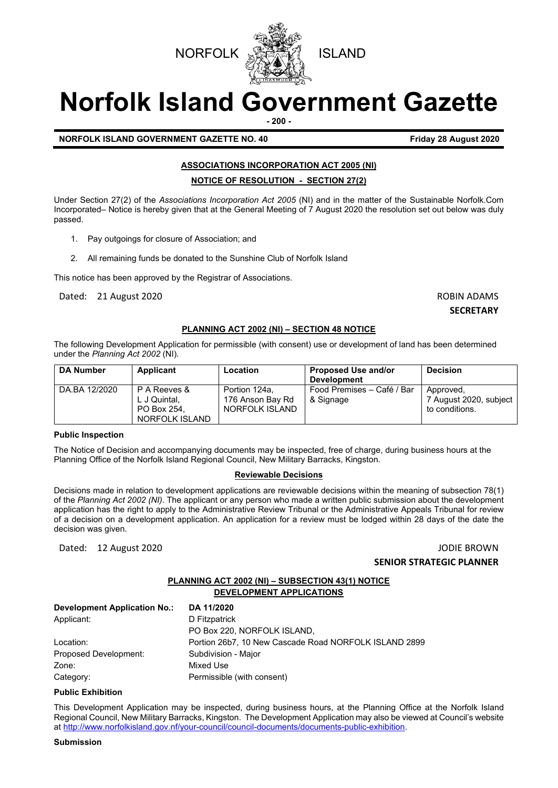



# **Norfolk Island Government Gazette**

**- 200 -**

# **NORFOLK ISLAND GOVERNMENT GAZETTE NO. 40 Friday 28 August 2020**

# **ASSOCIATIONS INCORPORATION ACT 2005 (NI)**

#### **NOTICE OF RESOLUTION - SECTION 27(2)**

Under Section 27(2) of the *Associations Incorporation Act 2005* (NI) and in the matter of the Sustainable Norfolk.Com Incorporated*–* Notice is hereby given that at the General Meeting of 7 August 2020 the resolution set out below was duly passed.

- 1. Pay outgoings for closure of Association; and
- 2. All remaining funds be donated to the Sunshine Club of Norfolk Island

This notice has been approved by the Registrar of Associations.

Dated: 21 August 2020 ROBIN ADAMS

#### **SECRETARY**

# **PLANNING ACT 2002 (NI) – SECTION 48 NOTICE**

The following Development Application for permissible (with consent) use or development of land has been determined under the *Planning Act 2002* (NI)*.*

| <b>DA Number</b> | <b>Applicant</b>                                              | Location                                            | <b>Proposed Use and/or</b><br><b>Development</b> | <b>Decision</b>                                       |
|------------------|---------------------------------------------------------------|-----------------------------------------------------|--------------------------------------------------|-------------------------------------------------------|
| DA.BA 12/2020    | P A Reeves &<br>L J Quintal.<br>PO Box 254.<br>NORFOLK ISLAND | Portion 124a.<br>176 Anson Bay Rd<br>NORFOLK ISLAND | Food Premises – Café / Bar<br>& Signage          | Approved,<br>7 August 2020, subject<br>to conditions. |

#### **Public Inspection**

The Notice of Decision and accompanying documents may be inspected, free of charge, during business hours at the Planning Office of the Norfolk Island Regional Council, New Military Barracks, Kingston.

# **Reviewable Decisions**

Decisions made in relation to development applications are reviewable decisions within the meaning of subsection 78(1) of the *Planning Act 2002 (NI).* The applicant or any person who made a written public submission about the development application has the right to apply to the Administrative Review Tribunal or the Administrative Appeals Tribunal for review of a decision on a development application. An application for a review must be lodged within 28 days of the date the decision was given.

Dated: 12 August 2020 JODIE BROWN

# **SENIOR STRATEGIC PLANNER**

# **PLANNING ACT 2002 (NI) – SUBSECTION 43(1) NOTICE DEVELOPMENT APPLICATIONS**

| DA 11/2020                                            |
|-------------------------------------------------------|
| D Fitzpatrick                                         |
| PO Box 220, NORFOLK ISLAND,                           |
| Portion 26b7, 10 New Cascade Road NORFOLK ISLAND 2899 |
| Subdivision - Major                                   |
| Mixed Use                                             |
| Permissible (with consent)                            |
|                                                       |

#### **Public Exhibition**

This Development Application may be inspected, during business hours, at the Planning Office at the Norfolk Island Regional Council, New Military Barracks, Kingston. The Development Application may also be viewed at Council's website a[t http://www.norfolkisland.gov.nf/your-council/council-documents/documents-public-exhibition.](http://www.norfolkisland.gov.nf/your-council/council-documents/documents-public-exhibition)

### **Submission**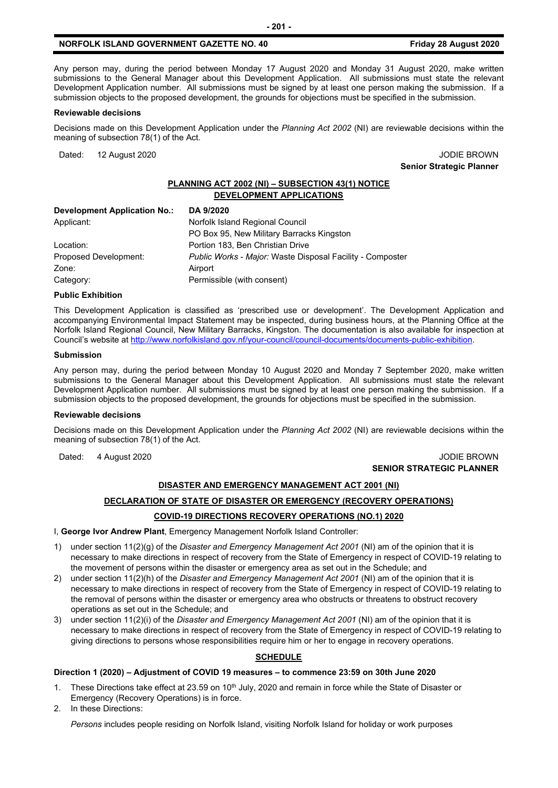# **NORFOLK ISLAND GOVERNMENT GAZETTE NO. 40 Friday 28 August 2020**

Any person may, during the period between Monday 17 August 2020 and Monday 31 August 2020, make written submissions to the General Manager about this Development Application. All submissions must state the relevant Development Application number. All submissions must be signed by at least one person making the submission. If a submission objects to the proposed development, the grounds for objections must be specified in the submission.

#### **Reviewable decisions**

Decisions made on this Development Application under the *Planning Act 2002* (NI) are reviewable decisions within the meaning of subsection 78(1) of the Act.

Dated: 12 August 2020 **JODIE BROWN** 

**Senior Strategic Planner** 

# **PLANNING ACT 2002 (NI) – SUBSECTION 43(1) NOTICE DEVELOPMENT APPLICATIONS**

| DA 9/2020                                                 |
|-----------------------------------------------------------|
| Norfolk Island Regional Council                           |
| PO Box 95, New Military Barracks Kingston                 |
| Portion 183, Ben Christian Drive                          |
| Public Works - Major: Waste Disposal Facility - Composter |
| Airport                                                   |
| Permissible (with consent)                                |
|                                                           |

#### **Public Exhibition**

This Development Application is classified as 'prescribed use or development'. The Development Application and accompanying Environmental Impact Statement may be inspected, during business hours, at the Planning Office at the Norfolk Island Regional Council, New Military Barracks, Kingston. The documentation is also available for inspection at Council's website a[t http://www.norfolkisland.gov.nf/your-council/council-documents/documents-public-exhibition.](http://www.norfolkisland.gov.nf/your-council/council-documents/documents-public-exhibition) 

#### **Submission**

Any person may, during the period between Monday 10 August 2020 and Monday 7 September 2020, make written submissions to the General Manager about this Development Application. All submissions must state the relevant Development Application number. All submissions must be signed by at least one person making the submission. If a submission objects to the proposed development, the grounds for objections must be specified in the submission.

#### **Reviewable decisions**

Decisions made on this Development Application under the *Planning Act 2002* (NI) are reviewable decisions within the meaning of subsection 78(1) of the Act.

Dated: 4 August 2020 **John Communist 2020 JODIE BROWN** 

# **SENIOR STRATEGIC PLANNER**

#### **DISASTER AND EMERGENCY MANAGEMENT ACT 2001 (NI)**

#### **DECLARATION OF STATE OF DISASTER OR EMERGENCY (RECOVERY OPERATIONS)**

# **COVID-19 DIRECTIONS RECOVERY OPERATIONS (NO.1) 2020**

I, **George Ivor Andrew Plant**, Emergency Management Norfolk Island Controller:

- 1) under section 11(2)(g) of the *Disaster and Emergency Management Act 2001* (NI) am of the opinion that it is necessary to make directions in respect of recovery from the State of Emergency in respect of COVID-19 relating to the movement of persons within the disaster or emergency area as set out in the Schedule; and
- 2) under section 11(2)(h) of the *Disaster and Emergency Management Act 2001* (NI) am of the opinion that it is necessary to make directions in respect of recovery from the State of Emergency in respect of COVID-19 relating to the removal of persons within the disaster or emergency area who obstructs or threatens to obstruct recovery operations as set out in the Schedule; and
- 3) under section 11(2)(i) of the *Disaster and Emergency Management Act 2001* (NI) am of the opinion that it is necessary to make directions in respect of recovery from the State of Emergency in respect of COVID-19 relating to giving directions to persons whose responsibilities require him or her to engage in recovery operations.

# **SCHEDULE**

#### **Direction 1 (2020) – Adjustment of COVID 19 measures – to commence 23:59 on 30th June 2020**

- 1. These Directions take effect at 23.59 on 10<sup>th</sup> July, 2020 and remain in force while the State of Disaster or Emergency (Recovery Operations) is in force.
- 2. In these Directions:

*Persons* includes people residing on Norfolk Island, visiting Norfolk Island for holiday or work purposes